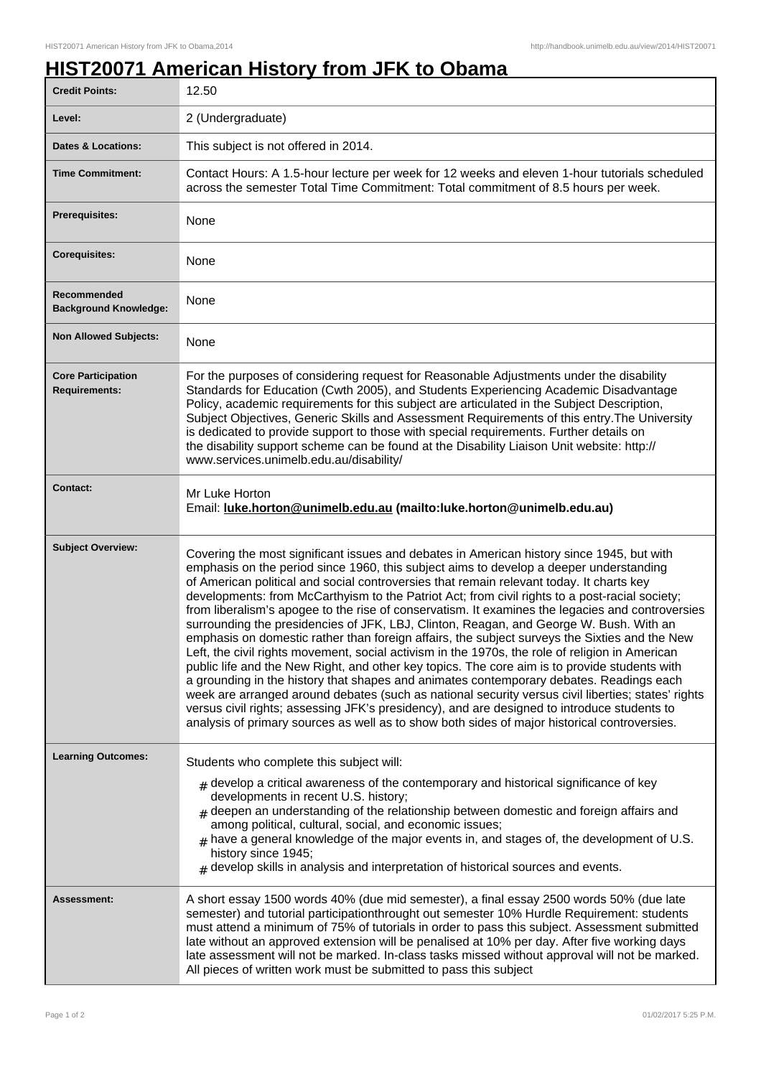## **HIST20071 American History from JFK to Obama**

| <b>Credit Points:</b>                             | 12.50                                                                                                                                                                                                                                                                                                                                                                                                                                                                                                                                                                                                                                                                                                                                                                                                                                                                                                                                                                                                                                                                                                                                                                                                                                                                                |
|---------------------------------------------------|--------------------------------------------------------------------------------------------------------------------------------------------------------------------------------------------------------------------------------------------------------------------------------------------------------------------------------------------------------------------------------------------------------------------------------------------------------------------------------------------------------------------------------------------------------------------------------------------------------------------------------------------------------------------------------------------------------------------------------------------------------------------------------------------------------------------------------------------------------------------------------------------------------------------------------------------------------------------------------------------------------------------------------------------------------------------------------------------------------------------------------------------------------------------------------------------------------------------------------------------------------------------------------------|
| Level:                                            | 2 (Undergraduate)                                                                                                                                                                                                                                                                                                                                                                                                                                                                                                                                                                                                                                                                                                                                                                                                                                                                                                                                                                                                                                                                                                                                                                                                                                                                    |
| <b>Dates &amp; Locations:</b>                     | This subject is not offered in 2014.                                                                                                                                                                                                                                                                                                                                                                                                                                                                                                                                                                                                                                                                                                                                                                                                                                                                                                                                                                                                                                                                                                                                                                                                                                                 |
| <b>Time Commitment:</b>                           | Contact Hours: A 1.5-hour lecture per week for 12 weeks and eleven 1-hour tutorials scheduled<br>across the semester Total Time Commitment: Total commitment of 8.5 hours per week.                                                                                                                                                                                                                                                                                                                                                                                                                                                                                                                                                                                                                                                                                                                                                                                                                                                                                                                                                                                                                                                                                                  |
| Prerequisites:                                    | None                                                                                                                                                                                                                                                                                                                                                                                                                                                                                                                                                                                                                                                                                                                                                                                                                                                                                                                                                                                                                                                                                                                                                                                                                                                                                 |
| <b>Corequisites:</b>                              | None                                                                                                                                                                                                                                                                                                                                                                                                                                                                                                                                                                                                                                                                                                                                                                                                                                                                                                                                                                                                                                                                                                                                                                                                                                                                                 |
| Recommended<br><b>Background Knowledge:</b>       | None                                                                                                                                                                                                                                                                                                                                                                                                                                                                                                                                                                                                                                                                                                                                                                                                                                                                                                                                                                                                                                                                                                                                                                                                                                                                                 |
| <b>Non Allowed Subjects:</b>                      | None                                                                                                                                                                                                                                                                                                                                                                                                                                                                                                                                                                                                                                                                                                                                                                                                                                                                                                                                                                                                                                                                                                                                                                                                                                                                                 |
| <b>Core Participation</b><br><b>Requirements:</b> | For the purposes of considering request for Reasonable Adjustments under the disability<br>Standards for Education (Cwth 2005), and Students Experiencing Academic Disadvantage<br>Policy, academic requirements for this subject are articulated in the Subject Description,<br>Subject Objectives, Generic Skills and Assessment Requirements of this entry. The University<br>is dedicated to provide support to those with special requirements. Further details on<br>the disability support scheme can be found at the Disability Liaison Unit website: http://<br>www.services.unimelb.edu.au/disability/                                                                                                                                                                                                                                                                                                                                                                                                                                                                                                                                                                                                                                                                     |
| <b>Contact:</b>                                   | Mr Luke Horton<br>Email: luke.horton@unimelb.edu.au (mailto:luke.horton@unimelb.edu.au)                                                                                                                                                                                                                                                                                                                                                                                                                                                                                                                                                                                                                                                                                                                                                                                                                                                                                                                                                                                                                                                                                                                                                                                              |
| <b>Subject Overview:</b>                          | Covering the most significant issues and debates in American history since 1945, but with<br>emphasis on the period since 1960, this subject aims to develop a deeper understanding<br>of American political and social controversies that remain relevant today. It charts key<br>developments: from McCarthyism to the Patriot Act; from civil rights to a post-racial society;<br>from liberalism's apogee to the rise of conservatism. It examines the legacies and controversies<br>surrounding the presidencies of JFK, LBJ, Clinton, Reagan, and George W. Bush. With an<br>emphasis on domestic rather than foreign affairs, the subject surveys the Sixties and the New<br>Left, the civil rights movement, social activism in the 1970s, the role of religion in American<br>public life and the New Right, and other key topics. The core aim is to provide students with<br>a grounding in the history that shapes and animates contemporary debates. Readings each<br>week are arranged around debates (such as national security versus civil liberties; states' rights<br>versus civil rights; assessing JFK's presidency), and are designed to introduce students to<br>analysis of primary sources as well as to show both sides of major historical controversies. |
| <b>Learning Outcomes:</b>                         | Students who complete this subject will:<br>$*$ develop a critical awareness of the contemporary and historical significance of key<br>developments in recent U.S. history;<br>$#$ deepen an understanding of the relationship between domestic and foreign affairs and<br>among political, cultural, social, and economic issues;<br>$#$ have a general knowledge of the major events in, and stages of, the development of U.S.<br>history since 1945;<br>$*$ develop skills in analysis and interpretation of historical sources and events.                                                                                                                                                                                                                                                                                                                                                                                                                                                                                                                                                                                                                                                                                                                                      |
| Assessment:                                       | A short essay 1500 words 40% (due mid semester), a final essay 2500 words 50% (due late<br>semester) and tutorial participationthrought out semester 10% Hurdle Requirement: students<br>must attend a minimum of 75% of tutorials in order to pass this subject. Assessment submitted<br>late without an approved extension will be penalised at 10% per day. After five working days<br>late assessment will not be marked. In-class tasks missed without approval will not be marked.<br>All pieces of written work must be submitted to pass this subject                                                                                                                                                                                                                                                                                                                                                                                                                                                                                                                                                                                                                                                                                                                        |